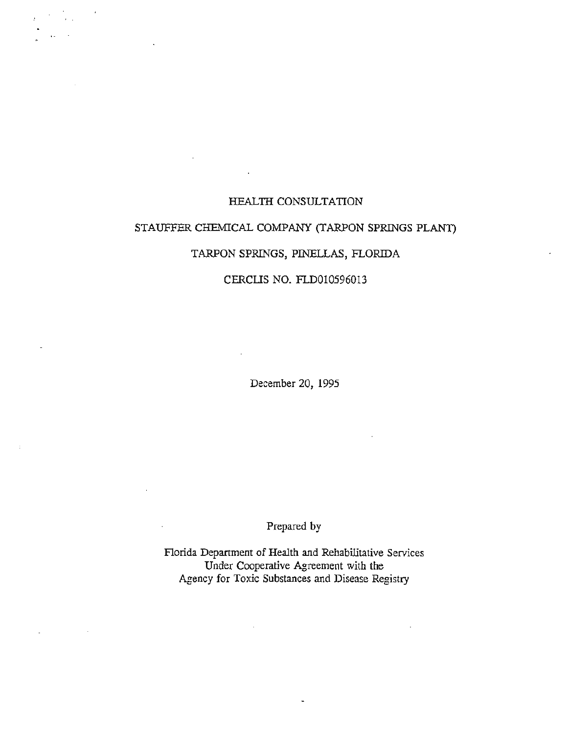## HEALTH CONSULTATION

*t ·* .. , , , , • • r

*r* 

r

# STAUFFER CHEMICAL COMPANY (TARPON SPRINGS PLANT)

# TARPON SPRINGS, PINELLAS, FLORIDA

### CERCUS NO. FLD010596013

December 20, 1995

Prepared by

Florida Depanment of Health and Rehabilitative Services Under Cooperative Agreement with the Agency for Toxic Substances and Disease Registry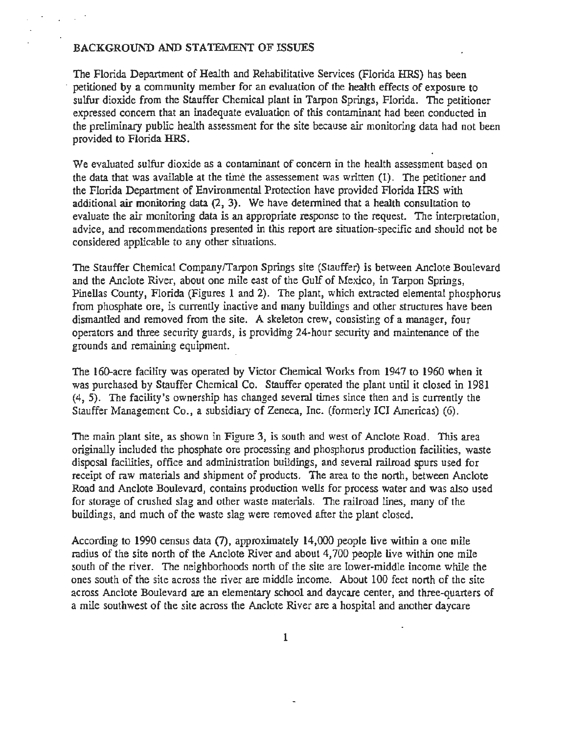### BACKGROUND AND STATEMENT OF ISSUES

The Florida Department of Health and Rehabilitative Services (Florida HRS) has been · petitioned by a community member for an evaluation of the health effects of exposure to sulfur dioxide from the Stauffer Chemical plant in Tarpon Springs, Florida. The petitioner expressed concern that an inadequate evaluation of this contaminant had been conducted in the preliminary public health assessment for the site because air monitoring data had not been provided to Florida HRS.

We evaluated sulfur dioxide as a contaminant of concern in the health assessment based on the data that was available at the time the assessement was written (1). The petitioner and the Florida Department of Environmental Protection have provided Florida HRS with additional air monitoring data (2, 3). We have detennined that a health consultation to evaluate the air monitoring data is an appropriate response to the request. The interpretation, advice, and recommendations presented in this report are situation-specific and should not be considered applicable to any other situations.

The Stauffer Chemical Company/Tarpon Springs site (Stauffer) is between Anclote Boulevard and the Anclote River, about one mile east of the Gulf of Mexico, in Tarpon Springs, Pinellas County, Florida (Figures 1 and 2). The plant, which extracted elemental phosphorus from phosphate ore, is currently inactive and many buildings and other structures have been dismantled and removed from the site. A skeleton crew, consisting of a manager, four operators and three security guards, is providing 24-hour security and maintenance of the grounds and remaining equipment.

The 160-acre facility was operated by Victor Chemical Works from 1947 to 1960 when it was purchased by Stauffer Chemical Co. Stauffer operated the plant until it closed in 1981 (4, 5). The facility's ownership has changed several times since then and is currently the Stauffer Management Co., a subsidiary of Zeneca, Inc. (formerly ICI Americas) (6).

The main plant site, as shown in Figure 3, is south and west of Anclote Road. This area originally included the phosphate ore processing and phosphorus production facilities, waste disposal facilities, office and administration buildings, and several railroad spurs used for receipt of raw materials and shipment of products. The area to the north, between Anclote Road and Anclote Boulevard, contains production wells for process water and was also used for storage of crushed slag and other waste materials. The railroad lines, many of the buildings, and much of the waste slag were removed after the plant closed.

According to 1990 census data (7), approximately 14,000 people live within a one mile radius of the site north of the Anclote River and about 4, 700 people live within one mile south of the river. The neighborhoods north of the site are lower-middle income while the ones south of the site across the river are middle income. About 100 feet north of the site across Anclote Boulevard are an elementary school and daycare center, and three-quarters of a mile southwest of the site across the Anclote River are a hospital and another daycare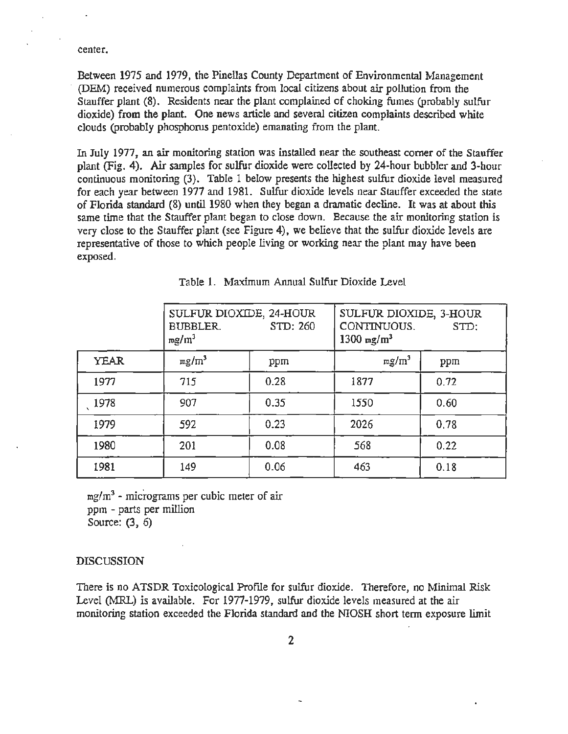center.

Between 1975 and 1979, the Pinellas County Department of Environmental Management · (DEM) received numerous complaints from local citizens about air pollution from the Stauffer plant (8). Residents near the plant complained of choking fumes (probably sulfur dioxide) from the plant. One news article and several citizen complaints described white clouds (probably phosphorus pentoxide) emanating from the plant.

In July 1977, an air monitoring station was installed near the southeast corner of the Stauffer plant (Fig. 4). Air samples for sulfur dioxide were collected by 24-hour bubbler and 3-hour continuous monitoring (3). Table 1 below presents the highest sulfur dioxide level measured for each year between 1977 and 1981. Sulfur dioxide levels near Stauffer exceeded the state of Florida standard (8) until 1980 when they began a dramatic decline. It was at about this same time that the Stauffer plant began to close down. Because the air monitoring station is very close to the Stauffer plant (see Figure 4), we believe that the sulfur dioxide levels are representative of those to which people living or working near the plant may have been exposed.

|             | SULFUR DIOXIDE, 24-HOUR<br>STD: 260<br><b>BUBBLER.</b><br>$mg/m^3$ |      | SULFUR DIOXIDE, 3-HOUR<br>CONTINUOUS.<br>STD:<br>1300 mg/ $m^3$ |      |
|-------------|--------------------------------------------------------------------|------|-----------------------------------------------------------------|------|
| <b>YEAR</b> | $mg/m^3$                                                           | ppm  | $mg/m^3$                                                        | ppm  |
| 1977        | 715                                                                | 0.28 | 1877                                                            | 0.72 |
| 1978        | 907                                                                | 0.35 | 1550                                                            | 0.60 |
| 1979        | 592                                                                | 0.23 | 2026                                                            | 0.78 |
| 1980        | 201                                                                | 0.08 | 568                                                             | 0.22 |
| 1981        | 149                                                                | 0.06 | 463                                                             | 0.18 |

Table 1. Maximum Annual Sulfur Dioxide Level

 $mg/m<sup>3</sup>$  - micrograms per cubic meter of air ppm - parts per million Source: (3, 6)

#### DISCUSSION

There is no ATSDR Toxicological Profile for sulfur dioxide. Therefore, no Minimal Risk Level (MRL) is available. For 1977-1979, sulfur dioxide levels measured at the air monitoring station exceeded the Florida standard and the NIOSH short term exposure limit

2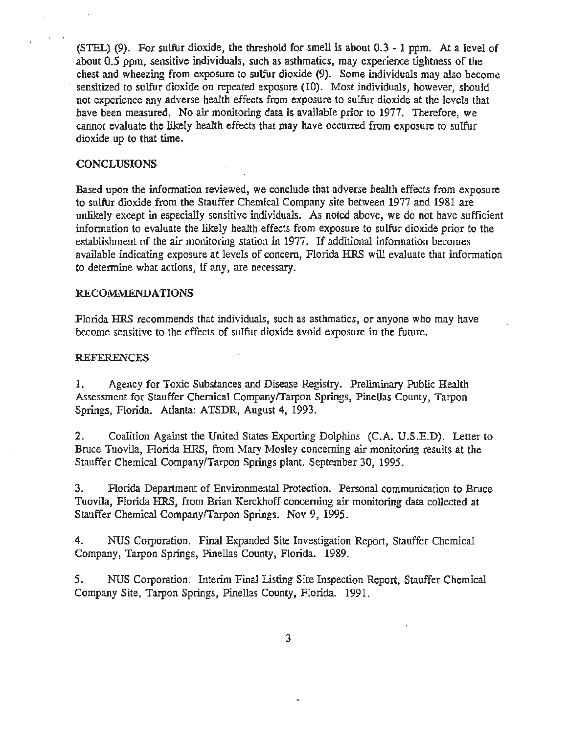(STEL) (9). For sulfur dioxide, the threshold for smell is about 0.3 - 1 ppm. At a level of about 0.5 ppm, sensitive individuals, such as asthmatics, may experience tightness of the chest and wheezing from exposure to sulfur dioxide (9). Some individuals may also become sensitized to sulfur dioxide on repeated exposure (10). Most individuals, however, should not experience any adverse health effects from exposure to sulfur dioxide at the levels that have been measured. No air monitoring data is available prior to 1977. Therefore, we cannot evaluate the likely health effects that may have occurred from exposure to sulfur dioxide up to that time.

#### **CONCLUSIONS**

Based upon the information reviewed, we conclude that adverse health effects from exposure to sulfur dioxide from the Stauffer Chemical Company site between 1977 and 1981 are unlikely except in especially sensitive individuals. As noted above, we do not have sufficient information to evaluate the likely health effects from exposure to sulfur dioxide prior to the establishment of the air monitoring station in 1977. If additional information becomes available indicating exposure at levels of concern, Florida HRS will evaluate that information to determine what actions, if any, are necessary.

#### RECOMMENDATIONS

Florida HRS recommends that individuals, such as asthmatics, or anyone who may have become sensitive *to* the effects of sulfur dioxide avoid exposure in the future.

#### REFERENCES

1. Agency for Toxic Substances and Disease Registry. Preliminary Public Health Assessment for Stauffer Chemical Company/Tarpon Springs, Pinellas County, Tarpon Springs, Florida. Atlanta: ATSDR, August 4, 1993.

2. Coalition Against the United States Exporting Dolphins (C.A. U.S.E.D). Letter to Bruce Tuovila, Florida HRS, from Mary Mosley concerning air monitoring results at the Stauffer Chemical Company/Tarpon Springs plant. September 30, 1995.

3. Florida Department of Environmental Protection. Personal communication to Bruce Tuovila, Florida HRS, from Brian Kerckhoff concerning air monitoring data collected at Stauffer Chemical Company/Tarpon Springs. Nov 9, 1995.

4. NUS Corporation. Final Expanded Site Investigation Report, Stauffer Chemical Company, Tarpon Springs, Pinellas County, Florida. 1989.

5. NUS Corporation. Interim Final Listing Site Inspection Report, Stauffer Chemical Company Site, Tarpon Springs, Pinellas County, Florida. 1991.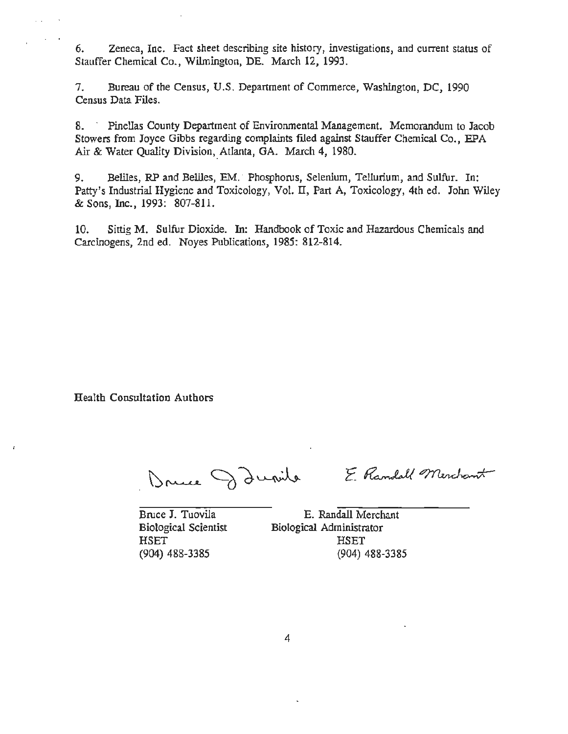6. Zeneca, Inc. Fact sheet describing site history, investigations, and current status of Stauffer Chemical Co., Wilmington, DE. March 12, 1993.

7. Bureau of the Census, U.S. Department of Commerce, Washington, DC, 1990 Census Data Files.

8. · Pinellas County Department of Environmental Management. Memorandum to Jacob Stowers from Joyce Gibbs regarding complaints filed against Stauffer Chemical Co., EPA Air & Water Quality Division, Atlanta, GA. March 4, 1980.

9. Beliles, RP and Beliles, EM. Phosphorus, Selenium, Tellurium, and Sulfur. In: Patty's Industrial Hygiene and Toxicology, Vol. IT, Part A, Toxicology, 4th ed. John Wiley & Sons, Inc., 1993: 807-811.

10. Sittig M. Sulfur Dioxide. In: Handbook of Toxic and Hazardous Chemicals and Carcinogens, 2nd ed. Noyes Publications, 1985: 812-814.

Health Consultation Authors

. .

Druce Danile

E Randall Merchant

Bruce J. Tuovila Biological Scientist **HSET** (904) 488-3385

E. Randall Merchant Biological Administrator HSET (904) 488-3385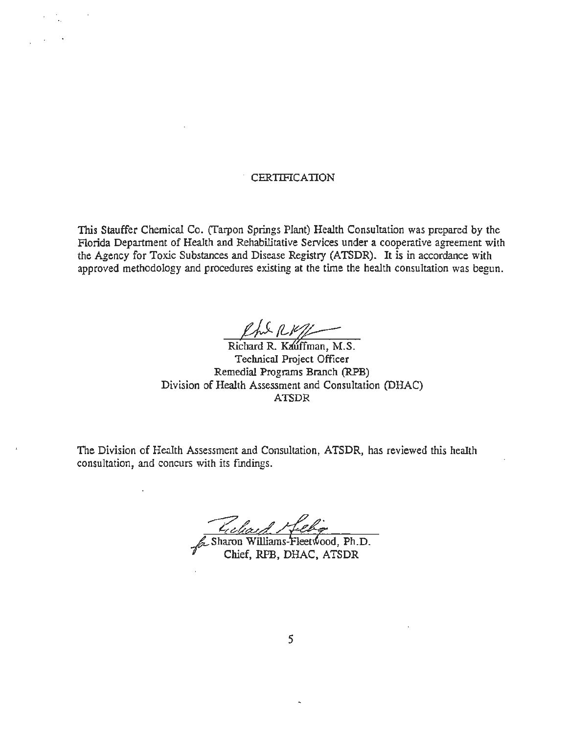### . CERTIFICATION

This Stauffer Chemical Co. (Tarpon Springs Plant) Health Consultation was prepared by the Florida Department of Health and Rehabilitative Services under a cooperative agreement with the Agency for Toxic Substances and Disease Registry (ATSDR). It is in accordance with approved methodology and procedures existing at the time the health consultation was begun.

 $2h+1$ 

Richard R. Kauffman, M.S. Technical Project Officer Remedial Programs Branch (RPB) Division of Health Assessment and Consultation (DHAC) ATSDR

The Division of Health Assessment and Consultation, ATSDR, has reviewed this health consultation, and concurs with its fmdings.

Sharon Williams-Fleetwood, Ph.D. Chief, RPB, DHAC, ATSDR

*5*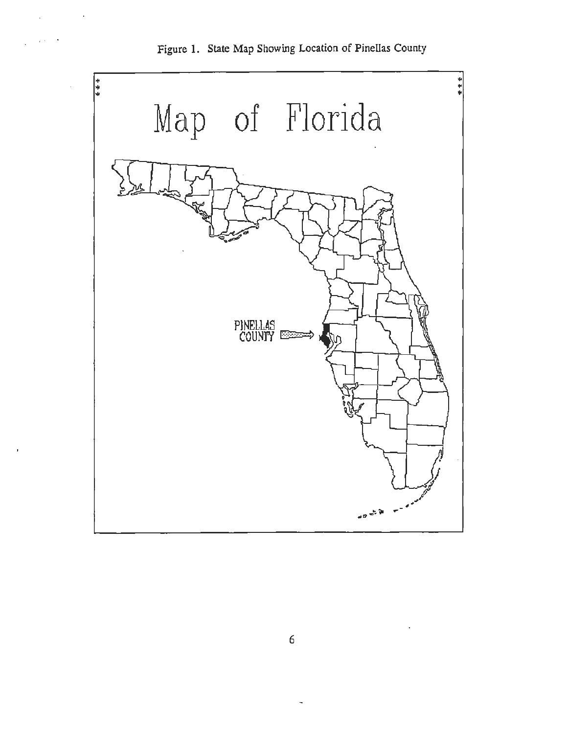

Figure 1. State Map Showing Location of Pinellas County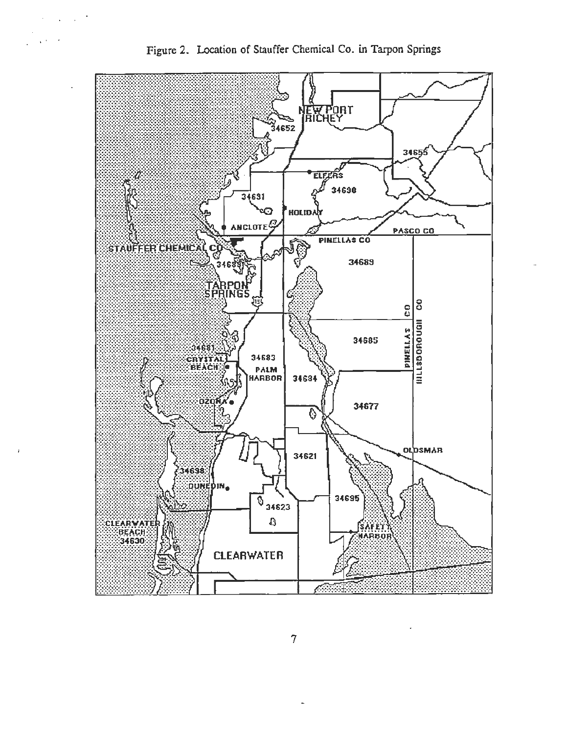

Figure 2. Location of Stauffer Chemical Co. in Tarpon Springs

 $\sim$ 

 $\sqrt{2}$ 

 $\Delta \sim 100$ 

 $\overline{7}$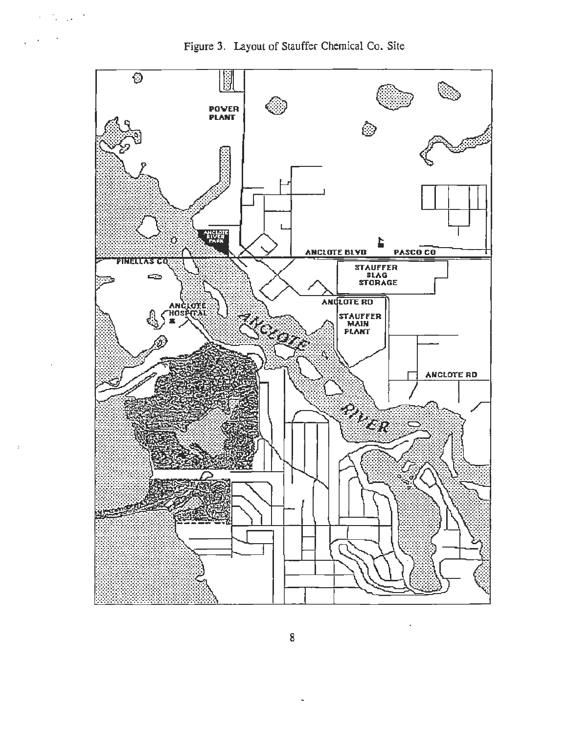

 $\mathcal{S} = \mathcal{S}_\mathbf{a}$  ,  $\mathcal{S}_\mathbf{a} = \mathcal{S}$ 

 $\mathcal{A}$ 



8

 $\sim$